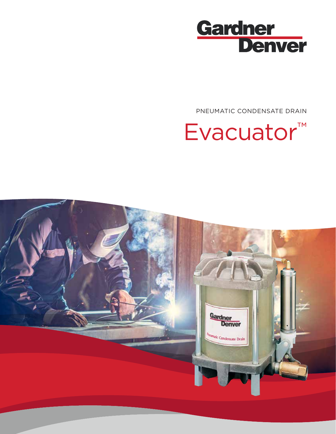

PNEUMATIC CONDENSATE DRAIN

# Evacuator™

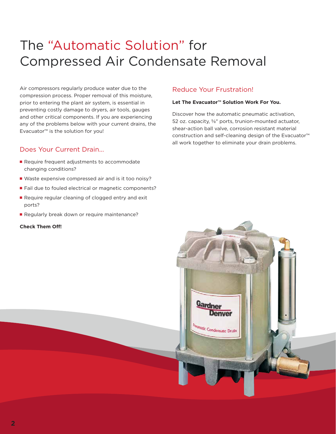### The "Automatic Solution" for Compressed Air Condensate Removal

Air compressors regularly produce water due to the compression process. Proper removal of this moisture, prior to entering the plant air system, is essential in preventing costly damage to dryers, air tools, gauges and other critical components. If you are experiencing any of the problems below with your current drains, the Evacuator™ is the solution for you!

### Does Your Current Drain...

- Require frequent adjustments to accommodate changing conditions?
- Waste expensive compressed air and is it too noisy?
- Fail due to fouled electrical or magnetic components?
- Require regular cleaning of clogged entry and exit ports?
- Regularly break down or require maintenance?

### **Check Them Off!**

### Reduce Your Frustration!

### **Let The Evacuator™ Solution Work For You.**

Discover how the automatic pneumatic activation, 52 oz. capacity, ⅝" ports, trunion-mounted actuator, shear-action ball valve, corrosion resistant material construction and self-cleaning design of the Evacuator™ all work together to eliminate your drain problems.

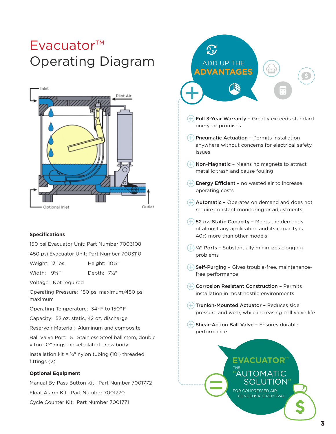### Evacuator™ Operating Diagram



#### **Specifications**

150 psi Evacuator Unit: Part Number 7003108

450 psi Evacuator Unit: Part Number 7003110

Weight: 13 lbs. Height: 10¼"

Width: 9⅝" Depth: 7½"

Voltage: Not required

Operating Pressure: 150 psi maximum/450 psi maximum

Operating Temperature: 34° F to 150° F

Capacity: 52 oz. static, 42 oz. discharge

Reservoir Material: Aluminum and composite

Ball Valve Port: ½" Stainless Steel ball stem, double viton "O" rings, nickel-plated brass body

Installation kit =  $\frac{1}{4}$ " nylon tubing (10') threaded fittings (2)

### **Optional Equipment**

Manual By-Pass Button Kit: Part Number 7001772

Float Alarm Kit: Part Number 7001770

Cycle Counter Kit: Part Number 7001771



- $(+)$  Full 3-Year Warranty Greatly exceeds standard one-year promises
- $(+)$  Pneumatic Actuation Permits installation anywhere without concerns for electrical safety issues
- $(+)$  Non-Magnetic Means no magnets to attract metallic trash and cause fouling
- $(+)$  Energy Efficient no wasted air to increase operating costs
- $(+)$  Automatic Operates on demand and does not require constant monitoring or adjustments
- $(+)$  52 oz. Static Capacity Meets the demands of almost any application and its capacity is 40% more than other models
- $(+)$  %" Ports Substantially minimizes clogging problems
- $+$  Self-Purging Gives trouble-free, maintenancefree performance
- $+$  Corrosion Resistant Construction Permits installation in most hostile environments
- $(+)$  Trunion-Mounted Actuator Reduces side pressure and wear, while increasing ball valve life
- $(+)$  Shear-Action Ball Valve Ensures durable performance

 $\left(\frac{1}{2}\right)$ 

### THE **EVACUATOR™ AUTOMATIC** JTION"

CONDENSATE REMOVAL FOR COMPRESSED AIR